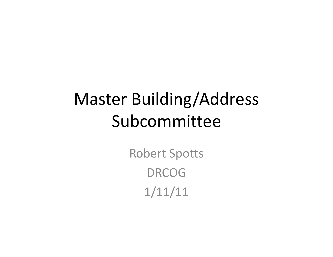## Master Building/Address Subcommittee

Robert Spotts DRCOG1/11/11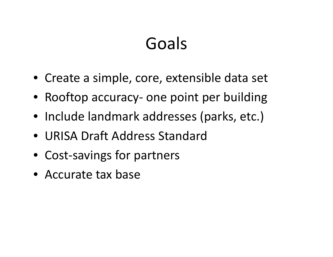#### Goals

- Create <sup>a</sup> simple, core, extensible data set
- Rooftop accuracy- one point per building
- Include landmark addresses (parks, etc.)
- URISA Draft Address Standard
- Cost‐savings for partners
- Accurate tax base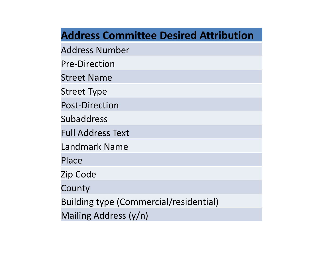|  |  |  |  | <b>Address Committee Desired Attribution</b> |
|--|--|--|--|----------------------------------------------|
|--|--|--|--|----------------------------------------------|

Address Number

Pre‐Direction

Street Name

Street Type

Post‐Direction

Subaddress

Full Address Text

Landmark Name

Place

Zip Code

County

Building type (Commercial/residential)

Mailing Address (y/n)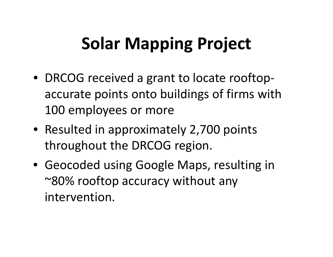# **Solar Mapping Project**

- DRCOG received <sup>a</sup> grant to locate rooftop ‐ accurate points onto buildings of firms with 100 employees or more
- Resulted in approximately 2,700 points throughout the DRCOG region.
- Geocoded using Google Maps, resulting in  $\mathord{\sim}80\%$  rooftop accuracy without any intervention.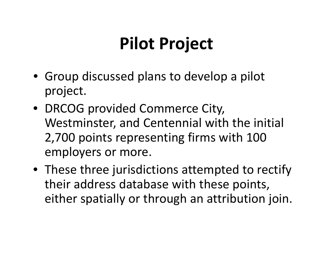# **Pilot Project**

- Group discussed plans to develop <sup>a</sup> pilot project.
- DRCOG provided Commerce City, Westminster, and Centennial with the initial 2,700 points representing firms with 100 employers or more.
- These three jurisdictions attempted to rectify their address database with these points, either spatially or through an attribution join.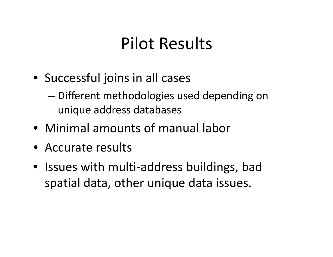#### Pilot Results

- Successful joins in all cases
	- – Different methodologies used depending on unique address databases
- Minimal amounts of manual labor
- Accurate results
- Issues with multi‐address buildings, bad spatial data, other unique data issues.